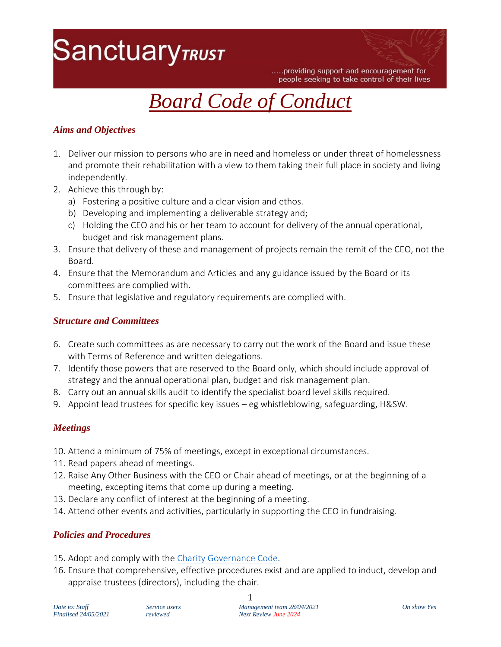## **SanctuaryTRUST**

.....providing support and encouragement for people seeking to take control of their lives



### *Aims and Objectives*

- 1. Deliver our mission to persons who are in need and homeless or under threat of homelessness and promote their rehabilitation with a view to them taking their full place in society and living independently.
- 2. Achieve this through by:
	- a) Fostering a positive culture and a clear vision and ethos.
	- b) Developing and implementing a deliverable strategy and;
	- c) Holding the CEO and his or her team to account for delivery of the annual operational, budget and risk management plans.
- 3. Ensure that delivery of these and management of projects remain the remit of the CEO, not the Board.
- 4. Ensure that the Memorandum and Articles and any guidance issued by the Board or its committees are complied with.
- 5. Ensure that legislative and regulatory requirements are complied with.

### *Structure and Committees*

- 6. Create such committees as are necessary to carry out the work of the Board and issue these with Terms of Reference and written delegations.
- 7. Identify those powers that are reserved to the Board only, which should include approval of strategy and the annual operational plan, budget and risk management plan.
- 8. Carry out an annual skills audit to identify the specialist board level skills required.
- 9. Appoint lead trustees for specific key issues eg whistleblowing, safeguarding, H&SW.

### *Meetings*

- 10. Attend a minimum of 75% of meetings, except in exceptional circumstances.
- 11. Read papers ahead of meetings.
- 12. Raise Any Other Business with the CEO or Chair ahead of meetings, or at the beginning of a meeting, excepting items that come up during a meeting.
- 13. Declare any conflict of interest at the beginning of a meeting.
- 14. Attend other events and activities, particularly in supporting the CEO in fundraising.

### *Policies and Procedures*

- 15. Adopt and comply with the [Charity Governance](https://www.charitygovernancecode.org/en) Code.
- 16. Ensure that comprehensive, effective procedures exist and are applied to induct, develop and appraise trustees (directors), including the chair.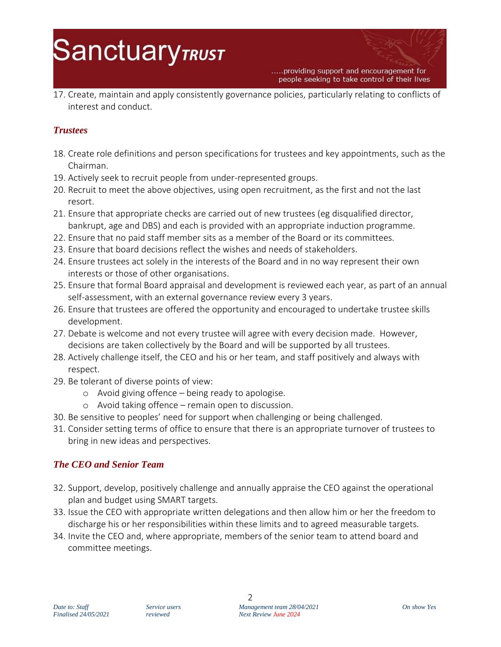# **SanctuaryTRUST**

.....providing support and encouragement for people seeking to take control of their lives

17. Create, maintain and apply consistently governance policies, particularly relating to conflicts of interest and conduct.

## *Trustees*

- 18. Create role definitions and person specifications for trustees and key appointments, such as the Chairman.
- 19. Actively seek to recruit people from under-represented groups.
- 20. Recruit to meet the above objectives, using open recruitment, as the first and not the last resort.
- 21. Ensure that appropriate checks are carried out of new trustees (eg disqualified director, bankrupt, age and DBS) and each is provided with an appropriate induction programme.
- 22. Ensure that no paid staff member sits as a member of the Board or its committees.
- 23. Ensure that board decisions reflect the wishes and needs of stakeholders.
- 24. Ensure trustees act solely in the interests of the Board and in no way represent their own interests or those of other organisations.
- 25. Ensure that formal Board appraisal and development is reviewed each year, as part of an annual self-assessment, with an external governance review every 3 years.
- 26. Ensure that trustees are offered the opportunity and encouraged to undertake trustee skills development.
- 27. Debate is welcome and not every trustee will agree with every decision made. However, decisions are taken collectively by the Board and will be supported by all trustees.
- 28. Actively challenge itself, the CEO and his or her team, and staff positively and always with respect.
- 29. Be tolerant of diverse points of view:
	- o Avoid giving offence being ready to apologise.
	- o Avoid taking offence remain open to discussion.
- 30. Be sensitive to peoples' need for support when challenging or being challenged.
- 31. Consider setting terms of office to ensure that there is an appropriate turnover of trustees to bring in new ideas and perspectives.

### *The CEO and Senior Team*

- 32. Support, develop, positively challenge and annually appraise the CEO against the operational plan and budget using SMART targets.
- 33. Issue the CEO with appropriate written delegations and then allow him or her the freedom to discharge his or her responsibilities within these limits and to agreed measurable targets.
- 34. Invite the CEO and, where appropriate, members of the senior team to attend board and committee meetings.